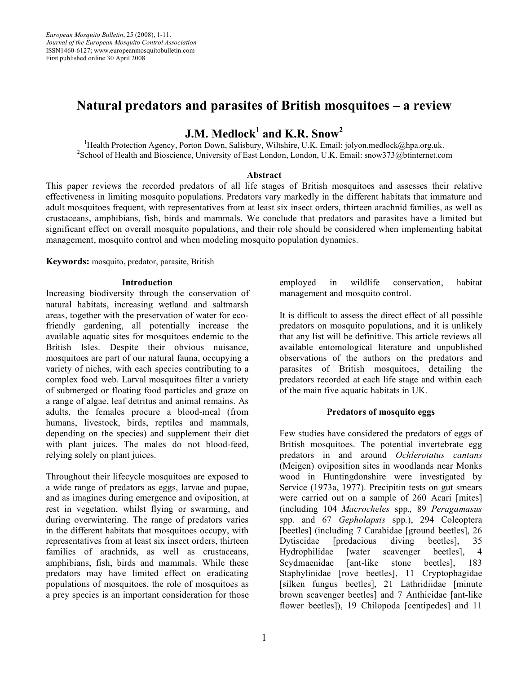*European Mosquito Bulletin*, 25 (2008), 1-11. *Journal of the European Mosquito Control Association* ISSN1460-6127; www.europeanmosquitobulletin.com First published online 30 April 2008

# **Natural predators and parasites of British mosquitoes – a review**

# **J.M. Medlock1 and K.R. Snow<sup>2</sup>**

<sup>1</sup>Health Protection Agency, Porton Down, Salisbury, Wiltshire, U.K. Email: jolyon.medlock@hpa.org.uk. <sup>2</sup>School of Health and Bioscience, University of East London, London, U.K. Email: snow373@btinternet.com

#### **Abstract**

This paper reviews the recorded predators of all life stages of British mosquitoes and assesses their relative effectiveness in limiting mosquito populations. Predators vary markedly in the different habitats that immature and adult mosquitoes frequent, with representatives from at least six insect orders, thirteen arachnid families, as well as crustaceans, amphibians, fish, birds and mammals. We conclude that predators and parasites have a limited but significant effect on overall mosquito populations, and their role should be considered when implementing habitat management, mosquito control and when modeling mosquito population dynamics.

**Keywords:** mosquito, predator, parasite, British

#### **Introduction**

Increasing biodiversity through the conservation of natural habitats, increasing wetland and saltmarsh areas, together with the preservation of water for ecofriendly gardening, all potentially increase the available aquatic sites for mosquitoes endemic to the British Isles. Despite their obvious nuisance, mosquitoes are part of our natural fauna, occupying a variety of niches, with each species contributing to a complex food web. Larval mosquitoes filter a variety of submerged or floating food particles and graze on a range of algae, leaf detritus and animal remains. As adults, the females procure a blood-meal (from humans, livestock, birds, reptiles and mammals, depending on the species) and supplement their diet with plant juices. The males do not blood-feed, relying solely on plant juices.

Throughout their lifecycle mosquitoes are exposed to a wide range of predators as eggs, larvae and pupae, and as imagines during emergence and oviposition, at rest in vegetation, whilst flying or swarming, and during overwintering. The range of predators varies in the different habitats that mosquitoes occupy, with representatives from at least six insect orders, thirteen families of arachnids, as well as crustaceans, amphibians, fish, birds and mammals. While these predators may have limited effect on eradicating populations of mosquitoes, the role of mosquitoes as a prey species is an important consideration for those employed in wildlife conservation, habitat management and mosquito control.

It is difficult to assess the direct effect of all possible predators on mosquito populations, and it is unlikely that any list will be definitive. This article reviews all available entomological literature and unpublished observations of the authors on the predators and parasites of British mosquitoes, detailing the predators recorded at each life stage and within each of the main five aquatic habitats in UK.

#### **Predators of mosquito eggs**

Few studies have considered the predators of eggs of British mosquitoes. The potential invertebrate egg predators in and around *Ochlerotatus cantans* (Meigen) oviposition sites in woodlands near Monks wood in Huntingdonshire were investigated by Service (1973a, 1977). Precipitin tests on gut smears were carried out on a sample of 260 Acari [mites] (including 104 *Macrocheles* spp*.,* 89 *Peragamasus* spp*.* and 67 *Gepholapsis* spp*.*), 294 Coleoptera [beetles] (including 7 Carabidae [ground beetles], 26 Dytiscidae [predacious diving beetles], 35 Hydrophilidae [water scavenger beetles], 4 Scydmaenidae [ant-like stone beetles], 183 Staphylinidae [rove beetles], 11 Cryptophagidae [silken fungus beetles], 21 Lathridiidae [minute brown scavenger beetles] and 7 Anthicidae [ant-like flower beetles]), 19 Chilopoda [centipedes] and 11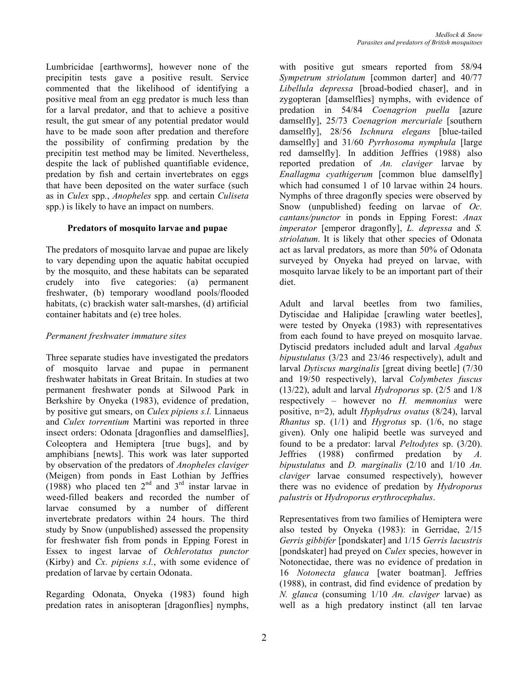Lumbricidae [earthworms], however none of the precipitin tests gave a positive result. Service commented that the likelihood of identifying a positive meal from an egg predator is much less than for a larval predator, and that to achieve a positive result, the gut smear of any potential predator would have to be made soon after predation and therefore the possibility of confirming predation by the precipitin test method may be limited. Nevertheless, despite the lack of published quantifiable evidence, predation by fish and certain invertebrates on eggs that have been deposited on the water surface (such as in *Culex* spp*.*, *Anopheles* spp*.* and certain *Culiseta* spp.) is likely to have an impact on numbers.

#### **Predators of mosquito larvae and pupae**

The predators of mosquito larvae and pupae are likely to vary depending upon the aquatic habitat occupied by the mosquito, and these habitats can be separated crudely into five categories: (a) permanent freshwater, (b) temporary woodland pools/flooded habitats, (c) brackish water salt-marshes, (d) artificial container habitats and (e) tree holes.

## *Permanent freshwater immature sites*

Three separate studies have investigated the predators of mosquito larvae and pupae in permanent freshwater habitats in Great Britain. In studies at two permanent freshwater ponds at Silwood Park in Berkshire by Onyeka (1983), evidence of predation, by positive gut smears, on *Culex pipiens s.l.* Linnaeus and *Culex torrentium* Martini was reported in three insect orders: Odonata [dragonflies and damselflies], Coleoptera and Hemiptera [true bugs], and by amphibians [newts]. This work was later supported by observation of the predators of *Anopheles claviger* (Meigen) from ponds in East Lothian by Jeffries  $(1988)$  who placed ten  $2<sup>nd</sup>$  and  $3<sup>rd</sup>$  instar larvae in weed-filled beakers and recorded the number of larvae consumed by a number of different invertebrate predators within 24 hours. The third study by Snow (unpublished) assessed the propensity for freshwater fish from ponds in Epping Forest in Essex to ingest larvae of *Ochlerotatus punctor* (Kirby) and *Cx. pipiens s.l.*, with some evidence of predation of larvae by certain Odonata.

Regarding Odonata, Onyeka (1983) found high predation rates in anisopteran [dragonflies] nymphs, with positive gut smears reported from 58/94 *Sympetrum striolatum* [common darter] and 40/77 *Libellula depressa* [broad-bodied chaser], and in zygopteran [damselflies] nymphs, with evidence of predation in 54/84 *Coenagrion puella* [azure damselfly], 25/73 *Coenagrion mercuriale* [southern damselfly], 28/56 *Ischnura elegans* [blue-tailed damselfly] and 31/60 *Pyrrhosoma nymphula* [large red damselfly]. In addition Jeffries (1988) also reported predation of *An. claviger* larvae by *Enallagma cyathigerum* [common blue damselfly] which had consumed 1 of 10 larvae within 24 hours. Nymphs of three dragonfly species were observed by Snow (unpublished) feeding on larvae of *Oc. cantans/punctor* in ponds in Epping Forest: *Anax imperator* [emperor dragonfly], *L. depressa* and *S. striolatum*. It is likely that other species of Odonata act as larval predators, as more than 50% of Odonata surveyed by Onyeka had preyed on larvae, with mosquito larvae likely to be an important part of their diet.

Adult and larval beetles from two families, Dytiscidae and Halipidae [crawling water beetles], were tested by Onyeka (1983) with representatives from each found to have preyed on mosquito larvae. Dytiscid predators included adult and larval *Agabus bipustulatus* (3/23 and 23/46 respectively), adult and larval *Dytiscus marginalis* [great diving beetle] (7/30 and 19/50 respectively), larval *Colymbetes fuscus* (13/22), adult and larval *Hydroporus* sp. (2/5 and 1/8 respectively – however no *H. memnonius* were positive, n=2), adult *Hyphydrus ovatus* (8/24), larval *Rhantus* sp. (1/1) and *Hygrotus* sp. (1/6, no stage given). Only one halipid beetle was surveyed and found to be a predator: larval *Peltodytes* sp. (3/20). Jeffries (1988) confirmed predation by *A. bipustulatus* and *D. marginalis* (2/10 and 1/10 *An. claviger* larvae consumed respectively), however there was no evidence of predation by *Hydroporus palustris* or *Hydroporus erythrocephalus*.

Representatives from two families of Hemiptera were also tested by Onyeka (1983): in Gerridae, 2/15 *Gerris gibbifer* [pondskater] and 1/15 *Gerris lacustris* [pondskater] had preyed on *Culex* species, however in Notonectidae, there was no evidence of predation in 16 *Notonecta glauca* [water boatman]. Jeffries (1988), in contrast, did find evidence of predation by *N. glauca* (consuming 1/10 *An. claviger* larvae) as well as a high predatory instinct (all ten larvae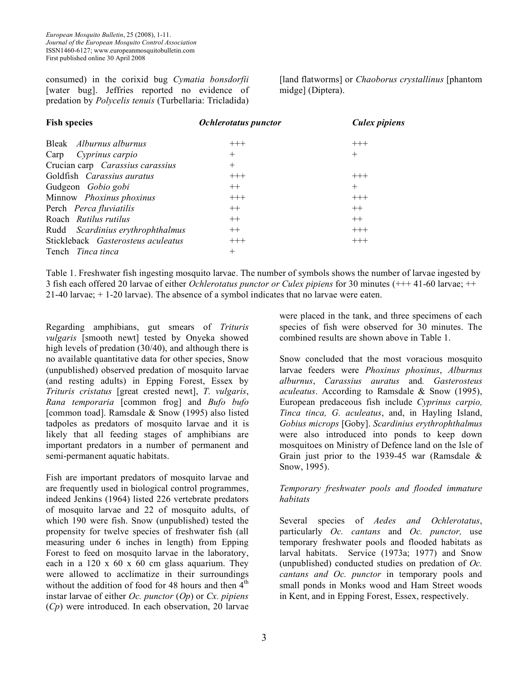consumed) in the corixid bug *Cymatia bonsdorfii* [water bug]. Jeffries reported no evidence of predation by *Polycelis tenuis* (Turbellaria: Tricladida) [land flatworms] or *Chaoborus crystallinus* [phantom midge] (Diptera).

| <b>Fish species</b>                | <b>Ochlerotatus</b> punctor | Culex pipiens |
|------------------------------------|-----------------------------|---------------|
| Bleak <i>Alburnus alburnus</i>     | $+++$                       | $+++$         |
| Cyprinus carpio<br>Carp            | $^{+}$                      | $^{+}$        |
| Crucian carp Carassius carassius   | $^{+}$                      |               |
| Goldfish <i>Carassius auratus</i>  | $+++$                       | $+++$         |
| Gudgeon <i>Gobio gobi</i>          | $++$                        | $^{+}$        |
| Minnow Phoxinus phoxinus           | $+++$                       | $+++$         |
| Perch Perca fluviatilis            | $++$                        | $++$          |
| Roach Rutilus rutilus              | $++$                        | $++$          |
| Rudd Scardinius erythrophthalmus   | $++$                        | $+++$         |
| Stickleback Gasterosteus aculeatus | $+++$                       | $+++$         |
| Tench <i>Tinca tinca</i>           | $^{+}$                      |               |

Table 1. Freshwater fish ingesting mosquito larvae. The number of symbols shows the number of larvae ingested by 3 fish each offered 20 larvae of either *Ochlerotatus punctor or Culex pipiens* for 30 minutes (+++ 41-60 larvae; ++ 21-40 larvae; + 1-20 larvae). The absence of a symbol indicates that no larvae were eaten.

Regarding amphibians, gut smears of *Trituris vulgaris* [smooth newt] tested by Onyeka showed high levels of predation (30/40), and although there is no available quantitative data for other species, Snow (unpublished) observed predation of mosquito larvae (and resting adults) in Epping Forest, Essex by *Trituris cristatus* [great crested newt], *T. vulgaris*, *Rana temporaria* [common frog] and *Bufo bufo* [common toad]. Ramsdale  $&$  Snow (1995) also listed tadpoles as predators of mosquito larvae and it is likely that all feeding stages of amphibians are important predators in a number of permanent and semi-permanent aquatic habitats.

Fish are important predators of mosquito larvae and are frequently used in biological control programmes, indeed Jenkins (1964) listed 226 vertebrate predators of mosquito larvae and 22 of mosquito adults, of which 190 were fish. Snow (unpublished) tested the propensity for twelve species of freshwater fish (all measuring under 6 inches in length) from Epping Forest to feed on mosquito larvae in the laboratory, each in a  $120 \times 60 \times 60$  cm glass aquarium. They were allowed to acclimatize in their surroundings without the addition of food for 48 hours and then  $4<sup>th</sup>$ instar larvae of either *Oc. punctor* (*Op*) or *Cx. pipiens* (*Cp*) were introduced. In each observation, 20 larvae were placed in the tank, and three specimens of each species of fish were observed for 30 minutes. The combined results are shown above in Table 1.

Snow concluded that the most voracious mosquito larvae feeders were *Phoxinus phoxinus*, *Alburnus alburnus*, *Carassius auratus* and*. Gasterosteus aculeatus*. According to Ramsdale & Snow (1995), European predaceous fish include *Cyprinus carpio, Tinca tinca, G. aculeatus*, and, in Hayling Island, *Gobius microps* [Goby]. *Scardinius erythrophthalmus* were also introduced into ponds to keep down mosquitoes on Ministry of Defence land on the Isle of Grain just prior to the 1939-45 war (Ramsdale  $\&$ Snow, 1995).

# *Temporary freshwater pools and flooded immature habitats*

Several species of *Aedes and Ochlerotatus*, particularly *Oc. cantans* and *Oc. punctor,* use temporary freshwater pools and flooded habitats as larval habitats. Service (1973a; 1977) and Snow (unpublished) conducted studies on predation of *Oc. cantans and Oc. punctor* in temporary pools and small ponds in Monks wood and Ham Street woods in Kent, and in Epping Forest, Essex, respectively.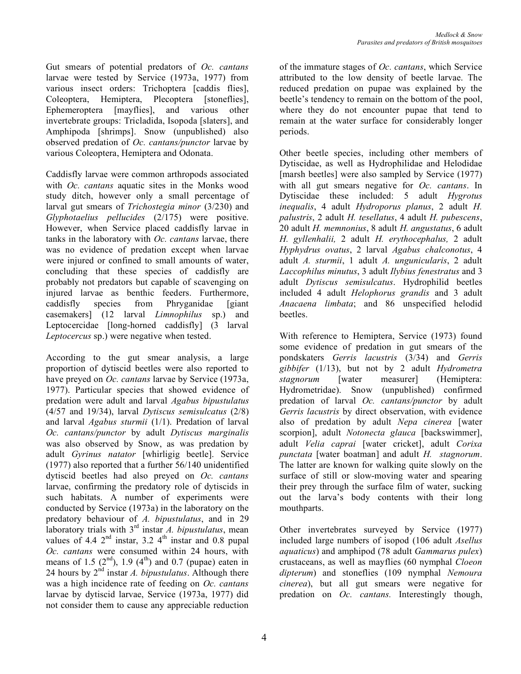Gut smears of potential predators of *Oc. cantans* larvae were tested by Service (1973a, 1977) from various insect orders: Trichoptera [caddis flies], Coleoptera, Hemiptera, Plecoptera [stoneflies], Ephemeroptera [mayflies], and various other invertebrate groups: Tricladida, Isopoda [slaters], and Amphipoda [shrimps]. Snow (unpublished) also observed predation of *Oc. cantans/punctor* larvae by various Coleoptera, Hemiptera and Odonata.

Caddisfly larvae were common arthropods associated with *Oc. cantans* aquatic sites in the Monks wood study ditch, however only a small percentage of larval gut smears of *Trichostegia minor* (3/230) and *Glyphotaelius pellucides* (2/175) were positive. However, when Service placed caddisfly larvae in tanks in the laboratory with *Oc. cantans* larvae, there was no evidence of predation except when larvae were injured or confined to small amounts of water, concluding that these species of caddisfly are probably not predators but capable of scavenging on injured larvae as benthic feeders. Furthermore, caddisfly species from Phryganidae [giant casemakers] (12 larval *Limnophilus* sp.) and Leptocercidae [long-horned caddisfly] (3 larval *Leptocercus* sp.) were negative when tested.

According to the gut smear analysis, a large proportion of dytiscid beetles were also reported to have preyed on *Oc. cantans* larvae by Service (1973a, 1977). Particular species that showed evidence of predation were adult and larval *Agabus bipustulatus* (4/57 and 19/34), larval *Dytiscus semisulcatus* (2/8) and larval *Agabus sturmii* (1/1). Predation of larval *Oc. cantans/punctor* by adult *Dytiscus marginalis* was also observed by Snow, as was predation by adult *Gyrinus natator* [whirligig beetle]. Service (1977) also reported that a further 56/140 unidentified dytiscid beetles had also preyed on *Oc. cantans* larvae, confirming the predatory role of dytiscids in such habitats. A number of experiments were conducted by Service (1973a) in the laboratory on the predatory behaviour of *A. bipustulatus*, and in 29 laboratory trials with 3rd instar *A. bipustulatus*, mean values of 4.4  $2<sup>nd</sup>$  instar, 3.2  $4<sup>th</sup>$  instar and 0.8 pupal *Oc. cantans* were consumed within 24 hours, with means of 1.5  $(2^{nd})$ , 1.9  $(4^{th})$  and 0.7 (pupae) eaten in 24 hours by 2nd instar *A. bipustulatus*. Although there was a high incidence rate of feeding on *Oc. cantans* larvae by dytiscid larvae, Service (1973a, 1977) did not consider them to cause any appreciable reduction of the immature stages of *Oc. cantans*, which Service attributed to the low density of beetle larvae. The reduced predation on pupae was explained by the beetle's tendency to remain on the bottom of the pool, where they do not encounter pupae that tend to remain at the water surface for considerably longer periods.

Other beetle species, including other members of Dytiscidae, as well as Hydrophilidae and Helodidae [marsh beetles] were also sampled by Service (1977) with all gut smears negative for *Oc. cantans*. In Dytiscidae these included: 5 adult *Hygrotus inequalis*, 4 adult *Hydroporus planus*, 2 adult *H. palustris*, 2 adult *H. tesellatus*, 4 adult *H. pubescens*, 20 adult *H. memnonius*, 8 adult *H. angustatus*, 6 adult *H. gyllenhalii,* 2 adult *H. erythocephalus,* 2 adult *Hyphydrus ovatus*, 2 larval *Agabus chalconotus*, 4 adult *A. sturmii*, 1 adult *A. ungunicularis*, 2 adult *Laccophilus minutus*, 3 adult *Ilybius fenestratus* and 3 adult *Dytiscus semisulcatus*. Hydrophilid beetles included 4 adult *Helophorus grandis* and 3 adult *Anacaena limbata*; and 86 unspecified helodid beetles.

With reference to Hemiptera, Service (1973) found some evidence of predation in gut smears of the pondskaters *Gerris lacustris* (3/34) and *Gerris gibbifer* (1/13), but not by 2 adult *Hydrometra stagnorum* [water measurer] (Hemiptera: Hydrometridae). Snow (unpublished) confirmed predation of larval *Oc. cantans/punctor* by adult *Gerris lacustris* by direct observation, with evidence also of predation by adult *Nepa cinerea* [water scorpion], adult *Notonecta glauca* [backswimmer], adult *Velia caprai* [water cricket], adult *Corixa punctata* [water boatman] and adult *H. stagnorum*. The latter are known for walking quite slowly on the surface of still or slow-moving water and spearing their prey through the surface film of water, sucking out the larva's body contents with their long mouthparts.

Other invertebrates surveyed by Service (1977) included large numbers of isopod (106 adult *Asellus aquaticus*) and amphipod (78 adult *Gammarus pulex*) crustaceans, as well as mayflies (60 nymphal *Cloeon dipterum*) and stoneflies (109 nymphal *Nemoura cinerea*), but all gut smears were negative for predation on *Oc. cantans.* Interestingly though,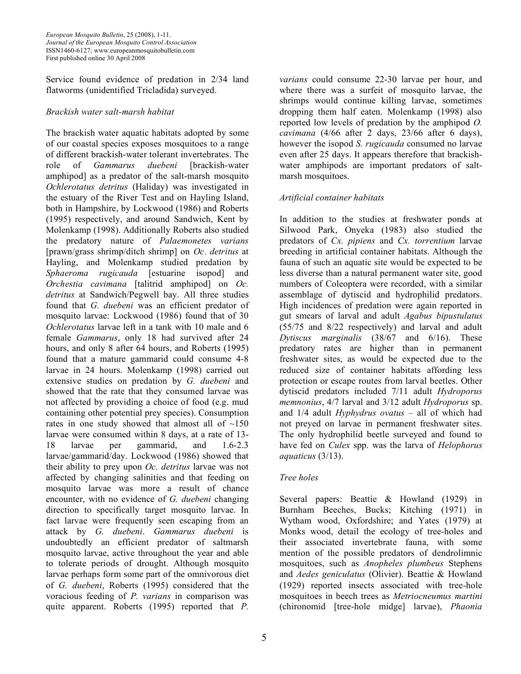Service found evidence of predation in 2/34 land flatworms (unidentified Tricladida) surveyed.

### *Brackish water salt-marsh habitat*

The brackish water aquatic habitats adopted by some of our coastal species exposes mosquitoes to a range of different brackish-water tolerant invertebrates. The role of *Gammarus duebeni* [brackish-water amphipod] as a predator of the salt-marsh mosquito *Ochlerotatus detritus* (Haliday) was investigated in the estuary of the River Test and on Hayling Island, both in Hampshire, by Lockwood (1986) and Roberts (1995) respectively, and around Sandwich, Kent by Molenkamp (1998). Additionally Roberts also studied the predatory nature of *Palaemonetes varians* [prawn/grass shrimp/ditch shrimp] on *Oc. detritus* at Hayling, and Molenkamp studied predation by *Sphaeroma rugicauda* [estuarine isopod] and *Orchestia cavimana* [talitrid amphipod] on *Oc. detritus* at Sandwich/Pegwell bay. All three studies found that *G. duebeni* was an efficient predator of mosquito larvae: Lockwood (1986) found that of 30 *Ochlerotatus* larvae left in a tank with 10 male and 6 female *Gammarus*, only 18 had survived after 24 hours, and only 8 after 64 hours, and Roberts (1995) found that a mature gammarid could consume 4-8 larvae in 24 hours. Molenkamp (1998) carried out extensive studies on predation by *G. duebeni* and showed that the rate that they consumed larvae was not affected by providing a choice of food (e.g. mud containing other potential prey species). Consumption rates in one study showed that almost all of  $\sim$ 150 larvae were consumed within 8 days, at a rate of 13- 18 larvae per gammarid, and 1.6-2.3 larvae/gammarid/day. Lockwood (1986) showed that their ability to prey upon *Oc. detritus* larvae was not affected by changing salinities and that feeding on mosquito larvae was more a result of chance encounter, with no evidence of *G. duebeni* changing direction to specifically target mosquito larvae. In fact larvae were frequently seen escaping from an attack by *G. duebeni*. *Gammarus duebeni* is undoubtedly an efficient predator of saltmarsh mosquito larvae, active throughout the year and able to tolerate periods of drought. Although mosquito larvae perhaps form some part of the omnivorous diet of *G. duebeni*, Roberts (1995) considered that the voracious feeding of *P. varians* in comparison was quite apparent. Roberts (1995) reported that *P.*

*varians* could consume 22-30 larvae per hour, and where there was a surfeit of mosquito larvae, the shrimps would continue killing larvae, sometimes dropping them half eaten. Molenkamp (1998) also reported low levels of predation by the amphipod *O. cavimana* (4/66 after 2 days, 23/66 after 6 days), however the isopod *S. rugicauda* consumed no larvae even after 25 days. It appears therefore that brackishwater amphipods are important predators of saltmarsh mosquitoes.

## *Artificial container habitats*

In addition to the studies at freshwater ponds at Silwood Park, Onyeka (1983) also studied the predators of *Cx. pipiens* and *Cx. torrentium* larvae breeding in artificial container habitats. Although the fauna of such an aquatic site would be expected to be less diverse than a natural permanent water site, good numbers of Coleoptera were recorded, with a similar assemblage of dytiscid and hydrophilid predators. High incidences of predation were again reported in gut smears of larval and adult *Agabus bipustulatus* (55/75 and 8/22 respectively) and larval and adult *Dytiscus marginalis* (38/67 and 6/16). These predatory rates are higher than in permanent freshwater sites, as would be expected due to the reduced size of container habitats affording less protection or escape routes from larval beetles. Other dytiscid predators included 7/11 adult *Hydroporus memnonius*, 4/7 larval and 3/12 adult *Hydroporus* sp. and 1/4 adult *Hyphydrus ovatus* – all of which had not preyed on larvae in permanent freshwater sites. The only hydrophilid beetle surveyed and found to have fed on *Culex* spp. was the larva of *Helophorus aquaticus* (3/13).

# *Tree holes*

Several papers: Beattie & Howland (1929) in Burnham Beeches, Bucks; Kitching (1971) in Wytham wood, Oxfordshire; and Yates (1979) at Monks wood, detail the ecology of tree-holes and their associated invertebrate fauna, with some mention of the possible predators of dendrolimnic mosquitoes, such as *Anopheles plumbeus* Stephens and *Aedes geniculatus* (Olivier). Beattie & Howland (1929) reported insects associated with tree-hole mosquitoes in beech trees as *Metriocneumus martini* (chironomid [tree-hole midge] larvae), *Phaonia*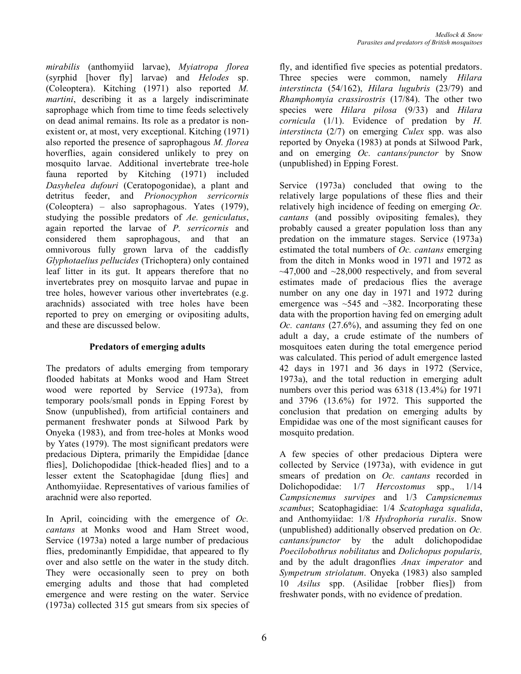*mirabilis* (anthomyiid larvae), *Myiatropa florea* (syrphid [hover fly] larvae) and *Helodes* sp. (Coleoptera). Kitching (1971) also reported *M. martini*, describing it as a largely indiscriminate saprophage which from time to time feeds selectively on dead animal remains. Its role as a predator is nonexistent or, at most, very exceptional. Kitching (1971) also reported the presence of saprophagous *M. florea* hoverflies, again considered unlikely to prey on mosquito larvae. Additional invertebrate tree-hole fauna reported by Kitching (1971) included *Dasyhelea dufouri* (Ceratopogonidae), a plant and detritus feeder, and *Prionocyphon serricornis* (Coleoptera) – also saprophagous. Yates (1979), studying the possible predators of *Ae. geniculatus*, again reported the larvae of *P. serricornis* and considered them saprophagous, and that an omnivorous fully grown larva of the caddisfly *Glyphotaelius pellucides* (Trichoptera) only contained leaf litter in its gut. It appears therefore that no invertebrates prey on mosquito larvae and pupae in tree holes, however various other invertebrates (e.g. arachnids) associated with tree holes have been reported to prey on emerging or ovipositing adults, and these are discussed below.

# **Predators of emerging adults**

The predators of adults emerging from temporary flooded habitats at Monks wood and Ham Street wood were reported by Service (1973a), from temporary pools/small ponds in Epping Forest by Snow (unpublished), from artificial containers and permanent freshwater ponds at Silwood Park by Onyeka (1983), and from tree-holes at Monks wood by Yates (1979). The most significant predators were predacious Diptera, primarily the Empididae [dance flies], Dolichopodidae [thick-headed flies] and to a lesser extent the Scatophagidae [dung flies] and Anthomyiidae. Representatives of various families of arachnid were also reported.

In April, coinciding with the emergence of *Oc. cantans* at Monks wood and Ham Street wood, Service (1973a) noted a large number of predacious flies, predominantly Empididae, that appeared to fly over and also settle on the water in the study ditch. They were occasionally seen to prey on both emerging adults and those that had completed emergence and were resting on the water. Service (1973a) collected 315 gut smears from six species of fly, and identified five species as potential predators. Three species were common, namely *Hilara interstincta* (54/162), *Hilara lugubris* (23/79) and *Rhamphomyia crassirostris* (17/84). The other two species were *Hilara pilosa* (9/33) and *Hilara cornicula* (1/1). Evidence of predation by *H. interstincta* (2/7) on emerging *Culex* spp. was also reported by Onyeka (1983) at ponds at Silwood Park, and on emerging *Oc. cantans/punctor* by Snow (unpublished) in Epping Forest.

Service (1973a) concluded that owing to the relatively large populations of these flies and their relatively high incidence of feeding on emerging *Oc. cantans* (and possibly ovipositing females), they probably caused a greater population loss than any predation on the immature stages. Service (1973a) estimated the total numbers of *Oc. cantans* emerging from the ditch in Monks wood in 1971 and 1972 as  $\sim$ 47,000 and  $\sim$ 28,000 respectively, and from several estimates made of predacious flies the average number on any one day in 1971 and 1972 during emergence was  $\sim$  545 and  $\sim$  382. Incorporating these data with the proportion having fed on emerging adult *Oc. cantans* (27.6%), and assuming they fed on one adult a day, a crude estimate of the numbers of mosquitoes eaten during the total emergence period was calculated. This period of adult emergence lasted 42 days in 1971 and 36 days in 1972 (Service, 1973a), and the total reduction in emerging adult numbers over this period was 6318 (13.4%) for 1971 and 3796 (13.6%) for 1972. This supported the conclusion that predation on emerging adults by Empididae was one of the most significant causes for mosquito predation.

A few species of other predacious Diptera were collected by Service (1973a), with evidence in gut smears of predation on *Oc. cantans* recorded in Dolichopodidae: 1/7 *Hercostomus* spp., 1/14 *Campsicnemus survipes* and 1/3 *Campsicnemus scambus*; Scatophagidiae: 1/4 *Scatophaga squalida*, and Anthomyiidae: 1/8 *Hydrophoria ruralis*. Snow (unpublished) additionally observed predation on *Oc. cantans/punctor* by the adult dolichopodidae *Poecilobothrus nobilitatus* and *Dolichopus popularis,* and by the adult dragonflies *Anax imperator* and *Sympetrum striolatum*. Onyeka (1983) also sampled 10 *Asilus* spp. (Asilidae [robber flies]) from freshwater ponds, with no evidence of predation.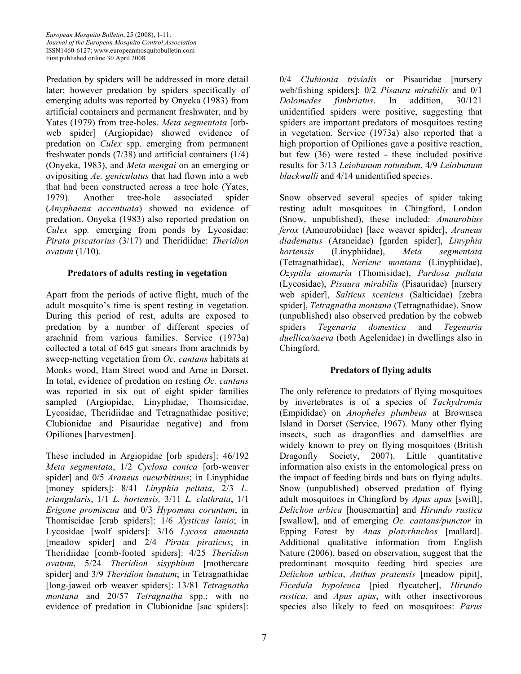Predation by spiders will be addressed in more detail later; however predation by spiders specifically of emerging adults was reported by Onyeka (1983) from artificial containers and permanent freshwater, and by Yates (1979) from tree-holes. *Meta segmentata* [orbweb spider] (Argiopidae) showed evidence of predation on *Culex* spp. emerging from permanent freshwater ponds (7/38) and artificial containers (1/4) (Onyeka, 1983), and *Meta mengai* on an emerging or ovipositing *Ae. geniculatus* that had flown into a web that had been constructed across a tree hole (Yates, 1979). Another tree-hole associated spider (*Anyphaena accentuata*) showed no evidence of predation. Onyeka (1983) also reported predation on *Culex* spp*.* emerging from ponds by Lycosidae: *Pirata piscatorius* (3/17) and Theridiidae: *Theridion ovatum* (1/10).

## **Predators of adults resting in vegetation**

Apart from the periods of active flight, much of the adult mosquito's time is spent resting in vegetation. During this period of rest, adults are exposed to predation by a number of different species of arachnid from various families. Service (1973a) collected a total of 645 gut smears from arachnids by sweep-netting vegetation from *Oc. cantans* habitats at Monks wood, Ham Street wood and Arne in Dorset. In total, evidence of predation on resting *Oc. cantans* was reported in six out of eight spider families sampled (Argiopidae, Linyphidae, Thomsicidae, Lycosidae, Theridiidae and Tetragnathidae positive; Clubionidae and Pisauridae negative) and from Opiliones [harvestmen].

These included in Argiopidae [orb spiders]: 46/192 *Meta segmentata*, 1/2 *Cyclosa conica* [orb-weaver spider] and 0/5 *Araneus cucurbitinus*; in Linyphidae [money spiders]: 8/41 *Linyphia peltata*, 2/3 *L. triangularis*, 1/1 *L. hortensis,* 3/11 *L. clathrata*, 1/1 *Erigone promiscua* and 0/3 *Hypomma coruntum*; in Thomiscidae [crab spiders]: 1/6 *Xysticus lanio*; in Lycosidae [wolf spiders]: 3/16 *Lycosa amentata* [meadow spider] and 2/4 *Pirata piraticus*; in Theridiidae [comb-footed spiders]: 4/25 *Theridion ovatum*, 5/24 *Theridion sisyphium* [mothercare spider] and 3/9 *Theridion lunatum*; in Tetragnathidae [long-jawed orb weaver spiders]: 13/81 *Tetragnatha montana* and 20/57 *Tetragnatha* spp.; with no evidence of predation in Clubionidae [sac spiders]: 0/4 *Clubionia trivialis* or Pisauridae [nursery web/fishing spiders]: 0/2 *Pisaura mirabilis* and 0/1 *Dolomedes fimbriatus*. In addition, 30/121 unidentified spiders were positive, suggesting that spiders are important predators of mosquitoes resting in vegetation. Service (1973a) also reported that a high proportion of Opiliones gave a positive reaction, but few (36) were tested - these included positive results for 3/13 *Leiobunum rotundum*, 4/9 *Leiobunum blackwalli* and 4/14 unidentified species.

Snow observed several species of spider taking resting adult mosquitoes in Chingford, London (Snow, unpublished), these included: *Amaurobius ferox* (Amourobiidae) [lace weaver spider], *Araneus diadematus* (Araneidae) [garden spider], *Linyphia hortensis* (Linyphiidae), *Meta segmentata* (Tetragnathidae), *Neriene montana* (Linyphiidae), *Ozyptila atomaria* (Thomisidae), *Pardosa pullata* (Lycosidae), *Pisaura mirabilis* (Pisauridae) [nursery web spider], *Salticus scenicus* (Salticidae) [zebra spider], *Tetragnatha montana* (Tetragnathidae). Snow (unpublished) also observed predation by the cobweb spiders *Tegenaria domestica* and *Tegenaria duellica/saeva* (both Agelenidae) in dwellings also in Chingford.

# **Predators of flying adults**

The only reference to predators of flying mosquitoes by invertebrates is of a species of *Tachydromia* (Empididae) on *Anopheles plumbeus* at Brownsea Island in Dorset (Service, 1967). Many other flying insects, such as dragonflies and damselflies are widely known to prey on flying mosquitoes (British Dragonfly Society, 2007). Little quantitative information also exists in the entomological press on the impact of feeding birds and bats on flying adults. Snow (unpublished) observed predation of flying adult mosquitoes in Chingford by *Apus apus* [swift], *Delichon urbica* [housemartin] and *Hirundo rustica* [swallow], and of emerging *Oc. cantans/punctor* in Epping Forest by *Anas platyrhnchos* [mallard]. Additional qualitative information from English Nature (2006), based on observation, suggest that the predominant mosquito feeding bird species are *Delichon urbica*, *Anthus pratensis* [meadow pipit], *Ficedula hypoleuca* [pied flycatcher], *Hirundo rustica*, and *Apus apus*, with other insectivorous species also likely to feed on mosquitoes: *Parus*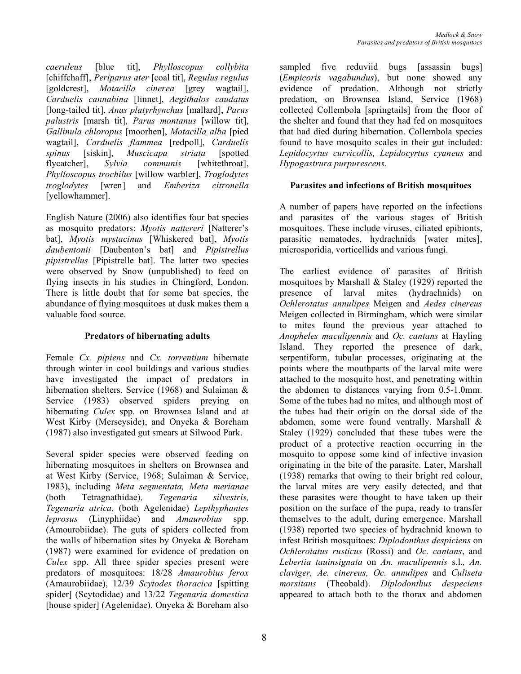*caeruleus* [blue tit], *Phylloscopus collybita* [chiffchaff], *Periparus ater* [coal tit], *Regulus regulus* [goldcrest], *Motacilla cinerea* [grey wagtail], *Carduelis cannabina* [linnet], *Aegithalos caudatus* [long-tailed tit], *Anas platyrhynchus* [mallard], *Parus palustris* [marsh tit], *Parus montanus* [willow tit], *Gallinula chloropus* [moorhen], *Motacilla alba* [pied wagtail], *Carduelis flammea* [redpoll], *Carduelis spinus* [siskin], *Muscicapa striata* [spotted flycatcher], *Sylvia communis* [whitethroat], *Phylloscopus trochilus* [willow warbler], *Troglodytes troglodytes* [wren] and *Emberiza citronella* [yellowhammer].

English Nature (2006) also identifies four bat species as mosquito predators: *Myotis nattereri* [Natterer's bat], *Myotis mystacinus* [Whiskered bat], *Myotis daubentonii* [Daubenton's bat] and *Pipistrellus pipistrellus* [Pipistrelle bat]. The latter two species were observed by Snow (unpublished) to feed on flying insects in his studies in Chingford, London. There is little doubt that for some bat species, the abundance of flying mosquitoes at dusk makes them a valuable food source.

### **Predators of hibernating adults**

Female *Cx. pipiens* and *Cx. torrentium* hibernate through winter in cool buildings and various studies have investigated the impact of predators in hibernation shelters. Service (1968) and Sulaiman & Service (1983) observed spiders preying on hibernating *Culex* spp. on Brownsea Island and at West Kirby (Merseyside), and Onyeka & Boreham (1987) also investigated gut smears at Silwood Park.

Several spider species were observed feeding on hibernating mosquitoes in shelters on Brownsea and at West Kirby (Service, 1968; Sulaiman & Service, 1983), including *Meta segmentata, Meta merianae* (both Tetragnathidae)*, Tegenaria silvestris, Tegenaria atrica,* (both Agelenidae) *Lepthyphantes leprosus* (Linyphiidae) and *Amaurobius* spp. (Amourobiidae). The guts of spiders collected from the walls of hibernation sites by Onyeka & Boreham (1987) were examined for evidence of predation on *Culex* spp. All three spider species present were predators of mosquitoes: 18/28 *Amaurobius ferox* (Amaurobiidae), 12/39 *Scytodes thoracica* [spitting spider] (Scytodidae) and 13/22 *Tegenaria domestica* [house spider] (Agelenidae). Onyeka & Boreham also sampled five reduviid bugs [assassin bugs] (*Empicoris vagabundus*), but none showed any evidence of predation. Although not strictly predation, on Brownsea Island, Service (1968) collected Collembola [springtails] from the floor of the shelter and found that they had fed on mosquitoes that had died during hibernation. Collembola species found to have mosquito scales in their gut included: *Lepidocyrtus curvicollis, Lepidocyrtus cyaneus* and *Hypogastrura purpurescens*.

# **Parasites and infections of British mosquitoes**

A number of papers have reported on the infections and parasites of the various stages of British mosquitoes. These include viruses, ciliated epibionts, parasitic nematodes, hydrachnids [water mites], microsporidia, vorticellids and various fungi.

The earliest evidence of parasites of British mosquitoes by Marshall & Staley (1929) reported the presence of larval mites (hydrachnids) on *Ochlerotatus annulipes* Meigen and *Aedes cinereus* Meigen collected in Birmingham, which were similar to mites found the previous year attached to *Anopheles maculipennis* and *Oc. cantans* at Hayling Island. They reported the presence of dark, serpentiform, tubular processes, originating at the points where the mouthparts of the larval mite were attached to the mosquito host, and penetrating within the abdomen to distances varying from 0.5-1.0mm. Some of the tubes had no mites, and although most of the tubes had their origin on the dorsal side of the abdomen, some were found ventrally. Marshall & Staley (1929) concluded that these tubes were the product of a protective reaction occurring in the mosquito to oppose some kind of infective invasion originating in the bite of the parasite. Later, Marshall (1938) remarks that owing to their bright red colour, the larval mites are very easily detected, and that these parasites were thought to have taken up their position on the surface of the pupa, ready to transfer themselves to the adult, during emergence. Marshall (1938) reported two species of hydrachnid known to infest British mosquitoes: *Diplodonthus despiciens* on *Ochlerotatus rusticus* (Rossi) and *Oc. cantans*, and *Lebertia tauinsignata* on *An. maculipennis* s.l.*, An. claviger, Ae. cinereus, Oc. annulipes* and *Culiseta morsitans* (Theobald). *Diplodonthus despeciens* appeared to attach both to the thorax and abdomen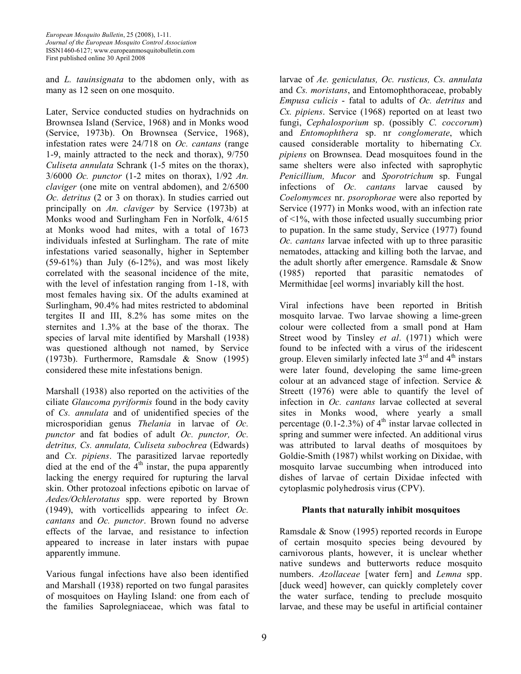and *L. tauinsignata* to the abdomen only, with as many as 12 seen on one mosquito.

Later, Service conducted studies on hydrachnids on Brownsea Island (Service, 1968) and in Monks wood (Service, 1973b). On Brownsea (Service, 1968), infestation rates were 24/718 on *Oc. cantans* (range 1-9, mainly attracted to the neck and thorax), 9/750 *Culiseta annulata* Schrank (1-5 mites on the thorax), 3/6000 *Oc. punctor* (1-2 mites on thorax), 1/92 *An. claviger* (one mite on ventral abdomen), and 2/6500 *Oc. detritus* (2 or 3 on thorax). In studies carried out principally on *An. claviger* by Service (1973b) at Monks wood and Surlingham Fen in Norfolk, 4/615 at Monks wood had mites, with a total of 1673 individuals infested at Surlingham. The rate of mite infestations varied seasonally, higher in September  $(59-61%)$  than July  $(6-12%)$ , and was most likely correlated with the seasonal incidence of the mite, with the level of infestation ranging from 1-18, with most females having six. Of the adults examined at Surlingham, 90.4% had mites restricted to abdominal tergites II and III, 8.2% has some mites on the sternites and 1.3% at the base of the thorax. The species of larval mite identified by Marshall (1938) was questioned although not named, by Service (1973b). Furthermore, Ramsdale & Snow (1995) considered these mite infestations benign.

Marshall (1938) also reported on the activities of the ciliate *Glaucoma pyriformis* found in the body cavity of *Cs. annulata* and of unidentified species of the microsporidian genus *Thelania* in larvae of *Oc. punctor* and fat bodies of adult *Oc. punctor, Oc. detritus, Cs. annulata, Culiseta subochrea* (Edwards) and *Cx. pipiens*. The parasitized larvae reportedly died at the end of the  $4<sup>th</sup>$  instar, the pupa apparently lacking the energy required for rupturing the larval skin. Other protozoal infections epibotic on larvae of *Aedes/Ochlerotatus* spp. were reported by Brown (1949), with vorticellids appearing to infect *Oc. cantans* and *Oc. punctor*. Brown found no adverse effects of the larvae, and resistance to infection appeared to increase in later instars with pupae apparently immune.

Various fungal infections have also been identified and Marshall (1938) reported on two fungal parasites of mosquitoes on Hayling Island: one from each of the families Saprolegniaceae, which was fatal to

larvae of *Ae. geniculatus, Oc. rusticus, Cs. annulata* and *Cs. moristans*, and Entomophthoraceae, probably *Empusa culicis* - fatal to adults of *Oc. detritus* and *Cx. pipiens*. Service (1968) reported on at least two fungi, *Cephalosporium* sp. (possibly *C. coccorum*) and *Entomophthera* sp. nr *conglomerate*, which caused considerable mortality to hibernating *Cx. pipiens* on Brownsea. Dead mosquitoes found in the same shelters were also infected with saprophytic *Penicillium, Mucor* and *Sporotrichum* sp. Fungal infections of *Oc. cantans* larvae caused by *Coelomymces* nr. *psorophorae* were also reported by Service (1977) in Monks wood, with an infection rate of <1%, with those infected usually succumbing prior to pupation. In the same study, Service (1977) found *Oc. cantans* larvae infected with up to three parasitic nematodes, attacking and killing both the larvae, and the adult shortly after emergence. Ramsdale & Snow (1985) reported that parasitic nematodes of Mermithidae [eel worms] invariably kill the host.

Viral infections have been reported in British mosquito larvae. Two larvae showing a lime-green colour were collected from a small pond at Ham Street wood by Tinsley *et al*. (1971) which were found to be infected with a virus of the iridescent group. Eleven similarly infected late  $3<sup>rd</sup>$  and  $4<sup>th</sup>$  instars were later found, developing the same lime-green colour at an advanced stage of infection. Service & Streett (1976) were able to quantify the level of infection in *Oc. cantans* larvae collected at several sites in Monks wood, where yearly a small percentage (0.1-2.3%) of  $4<sup>th</sup>$  instar larvae collected in spring and summer were infected. An additional virus was attributed to larval deaths of mosquitoes by Goldie-Smith (1987) whilst working on Dixidae, with mosquito larvae succumbing when introduced into dishes of larvae of certain Dixidae infected with cytoplasmic polyhedrosis virus (CPV).

# **Plants that naturally inhibit mosquitoes**

Ramsdale & Snow (1995) reported records in Europe of certain mosquito species being devoured by carnivorous plants, however, it is unclear whether native sundews and butterworts reduce mosquito numbers. *Azollaceae* [water fern] and *Lemna* spp. [duck weed] however, can quickly completely cover the water surface, tending to preclude mosquito larvae, and these may be useful in artificial container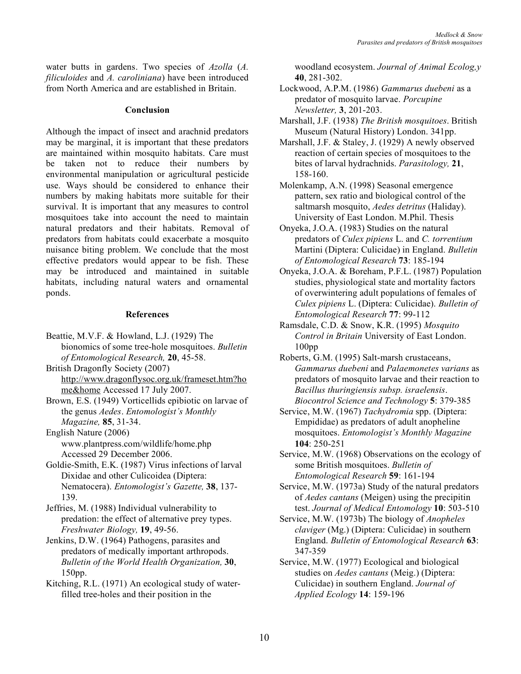water butts in gardens. Two species of *Azolla* (*A. filiculoides* and *A. caroliniana*) have been introduced from North America and are established in Britain.

#### **Conclusion**

Although the impact of insect and arachnid predators may be marginal, it is important that these predators are maintained within mosquito habitats. Care must be taken not to reduce their numbers by environmental manipulation or agricultural pesticide use. Ways should be considered to enhance their numbers by making habitats more suitable for their survival. It is important that any measures to control mosquitoes take into account the need to maintain natural predators and their habitats. Removal of predators from habitats could exacerbate a mosquito nuisance biting problem. We conclude that the most effective predators would appear to be fish. These may be introduced and maintained in suitable habitats, including natural waters and ornamental ponds.

#### **References**

- Beattie, M.V.F. & Howland, L.J. (1929) The bionomics of some tree-hole mosquitoes. *Bulletin of Entomological Research,* **20**, 45-58.
- British Dragonfly Society (2007) http://www.dragonflysoc.org.uk/frameset.htm?ho me&home Accessed 17 July 2007.
- Brown, E.S. (1949) Vorticellids epibiotic on larvae of the genus *Aedes*. *Entomologist's Monthly Magazine,* **85**, 31-34.
- English Nature (2006) www.plantpress.com/wildlife/home.php Accessed 29 December 2006.
- Goldie-Smith, E.K. (1987) Virus infections of larval Dixidae and other Culicoidea (Diptera: Nematocera). *Entomologist's Gazette,* **38**, 137- 139.
- Jeffries, M. (1988) Individual vulnerability to predation: the effect of alternative prey types. *Freshwater Biology,* **19**, 49-56.
- Jenkins, D.W. (1964) Pathogens, parasites and predators of medically important arthropods. *Bulletin of the World Health Organization,* **30**, 150pp.
- Kitching, R.L. (1971) An ecological study of waterfilled tree-holes and their position in the

woodland ecosystem. *Journal of Animal Ecolog,y* **40**, 281-302.

- Lockwood, A.P.M. (1986) *Gammarus duebeni* as a predator of mosquito larvae. *Porcupine Newsletter,* **3**, 201-203.
- Marshall, J.F. (1938) *The British mosquitoes*. British Museum (Natural History) London. 341pp.
- Marshall, J.F. & Staley, J. (1929) A newly observed reaction of certain species of mosquitoes to the bites of larval hydrachnids. *Parasitology,* **21**, 158-160.
- Molenkamp, A.N. (1998) Seasonal emergence pattern, sex ratio and biological control of the saltmarsh mosquito, *Aedes detritus* (Haliday). University of East London. M.Phil. Thesis
- Onyeka, J.O.A. (1983) Studies on the natural predators of *Culex pipiens* L. and *C. torrentium* Martini (Diptera: Culicidae) in England. *Bulletin of Entomological Research* **73**: 185-194
- Onyeka, J.O.A. & Boreham, P.F.L. (1987) Population studies, physiological state and mortality factors of overwintering adult populations of females of *Culex pipiens* L. (Diptera: Culicidae). *Bulletin of Entomological Research* **77**: 99-112
- Ramsdale, C.D. & Snow, K.R. (1995) *Mosquito Control in Britain* University of East London. 100pp
- Roberts, G.M. (1995) Salt-marsh crustaceans, *Gammarus duebeni* and *Palaemonetes varians* as predators of mosquito larvae and their reaction to *Bacillus thuringiensis subsp. israelensis*. *Biocontrol Science and Technology* **5**: 379-385
- Service, M.W. (1967) *Tachydromia* spp. (Diptera: Empididae) as predators of adult anopheline mosquitoes. *Entomologist's Monthly Magazine* **104**: 250-251
- Service, M.W. (1968) Observations on the ecology of some British mosquitoes. *Bulletin of Entomological Research* **59**: 161-194
- Service, M.W. (1973a) Study of the natural predators of *Aedes cantans* (Meigen) using the precipitin test. *Journal of Medical Entomology* **10**: 503-510
- Service, M.W. (1973b) The biology of *Anopheles claviger* (Mg.) (Diptera: Culicidae) in southern England. *Bulletin of Entomological Research* **63**: 347-359
- Service, M.W. (1977) Ecological and biological studies on *Aedes cantans* (Meig.) (Diptera: Culicidae) in southern England. *Journal of Applied Ecology* **14**: 159-196